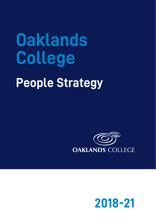# **Oaklands College People Strategy**



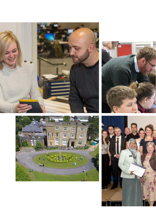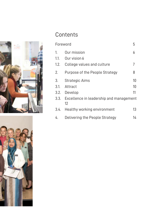



# **Contents**

| Foreword |                                               | 5  |
|----------|-----------------------------------------------|----|
| 1.       | Our mission                                   | 6  |
| 1.1.     | Our vision 6                                  |    |
| 1.2.     | College values and culture                    | 7  |
| 2.       | Purpose of the People Strategy                | 8  |
| 3.       | <b>Strategic Aims</b>                         | 10 |
| 3.1.     | Attract                                       | 10 |
| 3.2.     | Develop                                       | 11 |
| 3.3.     | Excellence in leadership and management<br>12 |    |
| 3.4.     | Healthy working environment                   | 13 |
| 4.       | Delivering the People Strategy                | 14 |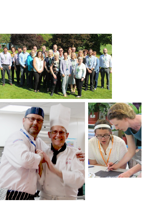



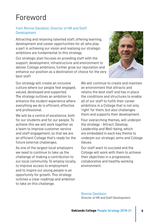# Foreword

#### from Ronnie Davidson, Director of HR and Staff Development

Attracting and retaining talented staff, offering learning, development and career opportunities for all who play a part in achieving our vision and realising our strategic ambitions are fundamental to this strategy.

Our strategic plan focuses on providing staff with the support, development, infrastructure and environment to deliver College ambitions, further grow our reputation and enhance our position as a destination of choice for the very best staff.



Our strategy will create an inclusive culture where our people feel engaged, valued, developed and supported. The strategy outlines an ambition to enhance the student experience where everything we do is efficient, effective and professional.

We will be a centre of excellence, both for our students and for our people. To achieve this we will work together as a team to improve customer service and staff engagement, so that we are an efficient College that's ready for the future external challenges.

As one of the largest local employers we need to continue to take up the challenge of making a contribution to our local community. To employ locally, to improve access to employment and to inspire our young people is an opportunity for growth. This strategy outlines a clear roadmap and ambition to take on this challenge.

We will continue to create and maintain an environment that attracts and retains the best staff and has in place the conditions and structures to enable all of our staff to fulfill their career ambitions in a College that is not only 'right' for them, but also challenges them and supports their development.

Four overarching themes, will underpin the strategy - Attract, Develop, Leadership and Well-being, which are embedded in each key theme to underpin our strategic aims and College Values.

Our staff want to succeed and the College will work with them to achieve their objectives in a progressive, collaborative and healthy working environment.

#### Ronnie Davidson Director of HR and Staff Development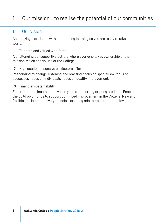## 1. Our mission - to realise the potential of our communities

## 11 Our vision

An amazing experience with outstanding learning so you are ready to take on the world.

1. Talented and valued workforce

A challenging but supportive culture where everyone takes ownership of the mission, vision and values of the College.

2. High quality responsive curriculum offer

Responding to change, listening and reacting, focus on specialism, focus on successes, focus on individuals, focus on quality improvement.

3. Financial sustainability

Ensure that the income received in year is supporting existing students. Enable the build up of funds to support continued improvement in the College. New and flexible curriculum delivery models exceeding minimum contribution levels.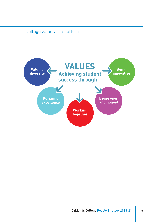## 1.2. College values and culture

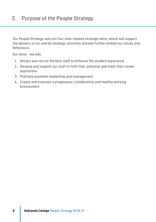## 2. Purpose of the People Strategy

Our People Strategy sets out four inter-related strategic aims, which will support the delivery of our overall strategic priorities and will further embed our values and behaviours.

Our Aims - we will:

- 1. Attract and recruit the best staff to enhance the student experience
- 2. Develop and support our staff to fulfil their potential and meet their career aspirations
- 3. Promote excellent leadership and management
- 4. Create and maintain a progressive, collaborative and healthy working environment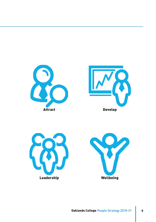





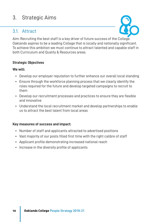## 3. Strategic Aims

## 3.1. Attract



Aim: Recruiting the best staff is a key driver of future success of the College. Oaklands aspires to be a leading College that is locally and nationally significant. To achieve this ambition we must continue to attract talented and capable staff in both Curriculum and Quality & Resources areas.

## **Strategic Objectives**

#### **We will:**

- Develop our employer reputation to further enhance our overall local standing
- Ensure through the workforce planning process that we clearly identify the roles required for the future and develop targeted campaigns to recruit to them
- Develop our recruitment processes and practices to ensure they are flexible and innovative
- Understand the local recruitment market and develop partnerships to enable us to attract the best talent from local areas

- Number of staff and applicants attracted to advertised positions
- Vast majority of our posts filled first time with the right calibre of staff
- Applicant profile demonstrating increased national reach
- Increase in the diversity profile of applicants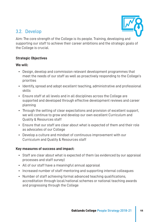## 3.2. Develop



Aim: The core strength of the College is its people. Training, developing and supporting our staff to achieve their career ambitions and the strategic goals of the College is crucial.

## **Strategic Objectives**

#### **We will:**

- Design, develop and commission relevant development programmes that meet the needs of our staff as well as proactively responding to the College's priorities
- Identify, spread and adopt excellent teaching, administrative and professional skills
- Ensure staff at all levels and in all disciplines across the College are supported and developed through effective development reviews and career planning
- Through the setting of clear expectations and provision of excellent support, we will continue to grow and develop our own excellent Curriculum and Quality & Resources staff
- Ensure that our staff are clear about what is expected of them and their role as advocates of our College
- Develop a culture and mindset of continuous improvement with our Curriculum and Quality & Resources staff

- Staff are clear about what is expected of them (as evidenced by our appraisal processes and staff survey)
- All of our staff have a meaningful annual appraisal
- Increased number of staff mentoring and supporting internal colleagues
- Number of staff achieving formal advanced teaching qualifications, accreditation through local/national schemes or national teaching awards and progressing through the College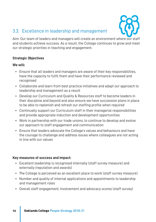

## 3.3. Excellence in leadership and management

Aim: Our team of leaders and managers will create an environment where our staff and students achieve success. As a result, the College continues to grow and meet our strategic priorities in teaching and engagement.

## **Strategic Objectives**

#### **We will:**

- Ensure that all leaders and managers are aware of their key responsibilities, have the capacity to fulfil them and have their performance reviewed and recognised
- Collaborate and learn from best practice initiatives and adapt our approach to leadership and management as a result
- Develop our Curriculum and Quality & Resources staff to become leaders in their discipline and beyond and also ensure we have succession plans in place to be able to replenish and refresh our staffing profile when required
- Continually support our Curriculum staff in their managerial responsibilities and provide appropriate induction and development opportunities
- Work in partnership with our trade unions, to continue to develop and evolve our approach to staff engagement and communication
- Ensure that leaders advocate the College's values and behaviours and have the courage to challenge and address issues where colleagues are not acting in line with our values

- Excellent leadership is recognised internally (staff survey measure) and externally (reputation and awards)
- The College is perceived as an excellent place to work (staff survey measure)
- Number and quality of internal applications and appointments to leadership and management roles
- Overall staff engagement, involvement and advocacy scores (staff survey)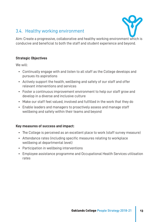## 3.4. Healthy working environment



Aim: Create a progressive, collaborative and healthy working environment which is conducive and beneficial to both the staff and student experience and beyond.

## **Strategic Objectives**

We will:

- Continually engage with and listen to all staff as the College develops and pursues its aspirations
- Actively support the health, wellbeing and safety of our staff and offer relevant interventions and services
- Foster a continuous improvement environment to help our staff grow and develop in a diverse and inclusive culture
- Make our staff feel valued, involved and fulfilled in the work that they do
- Enable leaders and managers to proactively assess and manage staff wellbeing and safety within their teams and beyond

- The College is perceived as an excellent place to work (staff survey measure)
- Attendance rates (including specific measures relating to workplace wellbeing at departmental level)
- Participation in wellbeing interventions
- Employee assistance programme and Occupational Health Services utilisation rates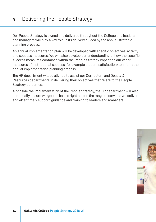## 4. Delivering the People Strategy

Our People Strategy is owned and delivered throughout the College and leaders and managers will play a key role in its delivery guided by the annual strategic planning process.

An annual implementation plan will be developed with specific objectives, activity and success measures. We will also develop our understanding of how the specific success measures contained within the People Strategy impact on our wider measures of institutional success (for example student satisfaction) to inform the annual implementation planning process.

The HR department will be aligned to assist our Curriculum and Quality & Resources departments in delivering their objectives that relate to the People Strategy outcomes.

Alongside the implementation of the People Strategy, the HR department will also continually ensure we get the basics right across the range of services we deliver and offer timely support, guidance and training to leaders and managers.

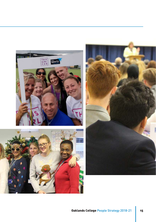